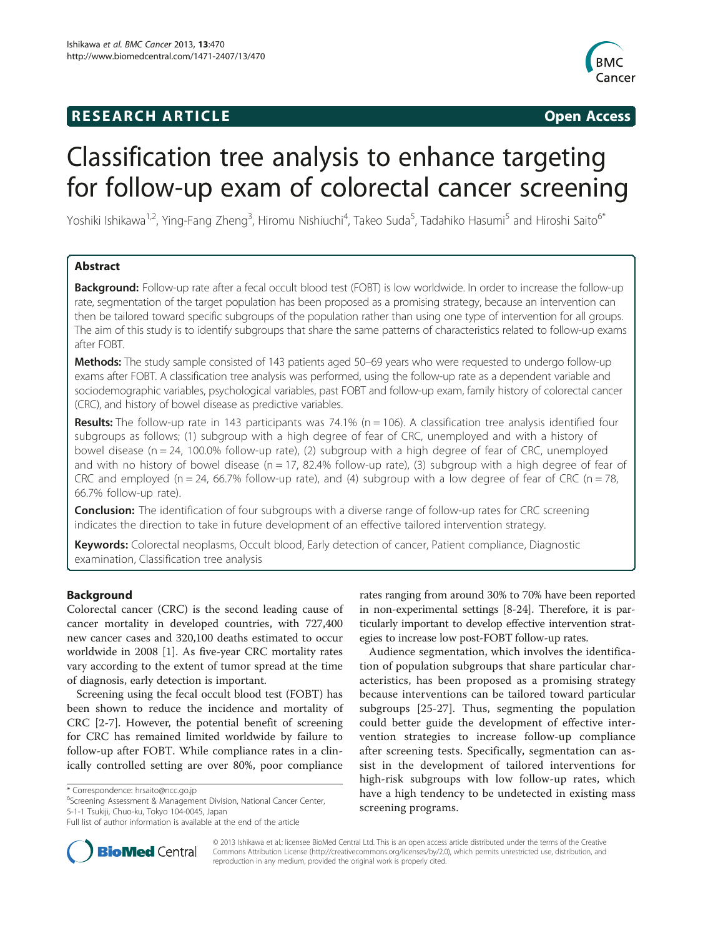## **RESEARCH ARTICLE Example 2014 CONSIDERING CONSIDERING CONSIDERING CONSIDERING CONSIDERING CONSIDERING CONSIDERING CONSIDERING CONSIDERING CONSIDERING CONSIDERING CONSIDERING CONSIDERING CONSIDERING CONSIDERING CONSIDE**



# Classification tree analysis to enhance targeting for follow-up exam of colorectal cancer screening

Yoshiki Ishikawa<sup>1,2</sup>, Ying-Fang Zheng<sup>3</sup>, Hiromu Nishiuchi<sup>4</sup>, Takeo Suda<sup>5</sup>, Tadahiko Hasumi<sup>5</sup> and Hiroshi Saito<sup>6\*</sup>

## Abstract

Background: Follow-up rate after a fecal occult blood test (FOBT) is low worldwide. In order to increase the follow-up rate, segmentation of the target population has been proposed as a promising strategy, because an intervention can then be tailored toward specific subgroups of the population rather than using one type of intervention for all groups. The aim of this study is to identify subgroups that share the same patterns of characteristics related to follow-up exams after FOBT.

Methods: The study sample consisted of 143 patients aged 50–69 years who were requested to undergo follow-up exams after FOBT. A classification tree analysis was performed, using the follow-up rate as a dependent variable and sociodemographic variables, psychological variables, past FOBT and follow-up exam, family history of colorectal cancer (CRC), and history of bowel disease as predictive variables.

Results: The follow-up rate in 143 participants was 74.1% ( $n = 106$ ). A classification tree analysis identified four subgroups as follows; (1) subgroup with a high degree of fear of CRC, unemployed and with a history of bowel disease ( $n = 24$ , 100.0% follow-up rate), (2) subgroup with a high degree of fear of CRC, unemployed and with no history of bowel disease ( $n = 17$ , 82.4% follow-up rate), (3) subgroup with a high degree of fear of CRC and employed ( $n = 24$ , 66.7% follow-up rate), and (4) subgroup with a low degree of fear of CRC ( $n = 78$ , 66.7% follow-up rate).

**Conclusion:** The identification of four subgroups with a diverse range of follow-up rates for CRC screening indicates the direction to take in future development of an effective tailored intervention strategy.

Keywords: Colorectal neoplasms, Occult blood, Early detection of cancer, Patient compliance, Diagnostic examination, Classification tree analysis

## Background

Colorectal cancer (CRC) is the second leading cause of cancer mortality in developed countries, with 727,400 new cancer cases and 320,100 deaths estimated to occur worldwide in 2008 [[1\]](#page-5-0). As five-year CRC mortality rates vary according to the extent of tumor spread at the time of diagnosis, early detection is important.

Screening using the fecal occult blood test (FOBT) has been shown to reduce the incidence and mortality of CRC [[2-7\]](#page-5-0). However, the potential benefit of screening for CRC has remained limited worldwide by failure to follow-up after FOBT. While compliance rates in a clinically controlled setting are over 80%, poor compliance

\* Correspondence: [hrsaito@ncc.go.jp](mailto:hrsaito@ncc.go.jp) <sup>6</sup>

<sup>6</sup>Screening Assessment & Management Division, National Cancer Center, 5-1-1 Tsukiji, Chuo-ku, Tokyo 104-0045, Japan

rates ranging from around 30% to 70% have been reported in non-experimental settings [\[8](#page-5-0)-[24](#page-5-0)]. Therefore, it is particularly important to develop effective intervention strategies to increase low post-FOBT follow-up rates.

Audience segmentation, which involves the identification of population subgroups that share particular characteristics, has been proposed as a promising strategy because interventions can be tailored toward particular subgroups [[25-27](#page-5-0)]. Thus, segmenting the population could better guide the development of effective intervention strategies to increase follow-up compliance after screening tests. Specifically, segmentation can assist in the development of tailored interventions for high-risk subgroups with low follow-up rates, which have a high tendency to be undetected in existing mass screening programs.



© 2013 Ishikawa et al.; licensee BioMed Central Ltd. This is an open access article distributed under the terms of the Creative Commons Attribution License [\(http://creativecommons.org/licenses/by/2.0\)](http://creativecommons.org/licenses/by/2.0), which permits unrestricted use, distribution, and reproduction in any medium, provided the original work is properly cited.

Full list of author information is available at the end of the article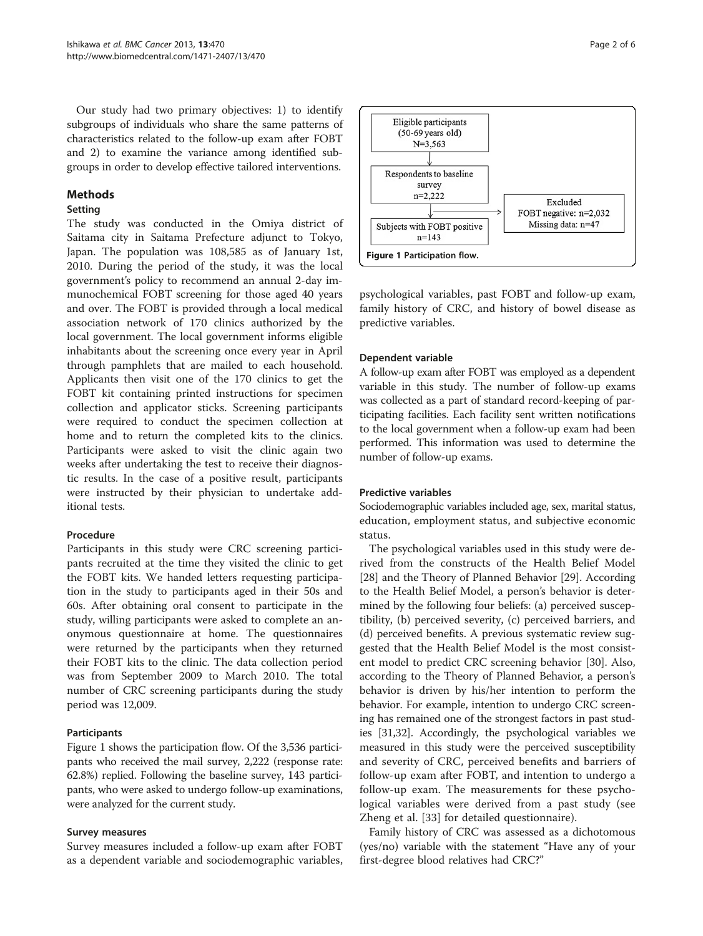Our study had two primary objectives: 1) to identify subgroups of individuals who share the same patterns of characteristics related to the follow-up exam after FOBT and 2) to examine the variance among identified subgroups in order to develop effective tailored interventions.

#### Methods

#### Setting

The study was conducted in the Omiya district of Saitama city in Saitama Prefecture adjunct to Tokyo, Japan. The population was 108,585 as of January 1st, 2010. During the period of the study, it was the local government's policy to recommend an annual 2-day immunochemical FOBT screening for those aged 40 years and over. The FOBT is provided through a local medical association network of 170 clinics authorized by the local government. The local government informs eligible inhabitants about the screening once every year in April through pamphlets that are mailed to each household. Applicants then visit one of the 170 clinics to get the FOBT kit containing printed instructions for specimen collection and applicator sticks. Screening participants were required to conduct the specimen collection at home and to return the completed kits to the clinics. Participants were asked to visit the clinic again two weeks after undertaking the test to receive their diagnostic results. In the case of a positive result, participants were instructed by their physician to undertake additional tests.

#### Procedure

Participants in this study were CRC screening participants recruited at the time they visited the clinic to get the FOBT kits. We handed letters requesting participation in the study to participants aged in their 50s and 60s. After obtaining oral consent to participate in the study, willing participants were asked to complete an anonymous questionnaire at home. The questionnaires were returned by the participants when they returned their FOBT kits to the clinic. The data collection period was from September 2009 to March 2010. The total number of CRC screening participants during the study period was 12,009.

## Participants

Figure 1 shows the participation flow. Of the 3,536 participants who received the mail survey, 2,222 (response rate: 62.8%) replied. Following the baseline survey, 143 participants, who were asked to undergo follow-up examinations, were analyzed for the current study.

#### Survey measures

Survey measures included a follow-up exam after FOBT as a dependent variable and sociodemographic variables,



psychological variables, past FOBT and follow-up exam, family history of CRC, and history of bowel disease as predictive variables.

## Dependent variable

A follow-up exam after FOBT was employed as a dependent variable in this study. The number of follow-up exams was collected as a part of standard record-keeping of participating facilities. Each facility sent written notifications to the local government when a follow-up exam had been performed. This information was used to determine the number of follow-up exams.

#### Predictive variables

Sociodemographic variables included age, sex, marital status, education, employment status, and subjective economic status.

The psychological variables used in this study were derived from the constructs of the Health Belief Model [[28\]](#page-5-0) and the Theory of Planned Behavior [\[29\]](#page-5-0). According to the Health Belief Model, a person's behavior is determined by the following four beliefs: (a) perceived susceptibility, (b) perceived severity, (c) perceived barriers, and (d) perceived benefits. A previous systematic review suggested that the Health Belief Model is the most consistent model to predict CRC screening behavior [[30](#page-5-0)]. Also, according to the Theory of Planned Behavior, a person's behavior is driven by his/her intention to perform the behavior. For example, intention to undergo CRC screening has remained one of the strongest factors in past studies [[31,32\]](#page-5-0). Accordingly, the psychological variables we measured in this study were the perceived susceptibility and severity of CRC, perceived benefits and barriers of follow-up exam after FOBT, and intention to undergo a follow-up exam. The measurements for these psychological variables were derived from a past study (see Zheng et al. [\[33](#page-5-0)] for detailed questionnaire).

Family history of CRC was assessed as a dichotomous (yes/no) variable with the statement "Have any of your first-degree blood relatives had CRC?"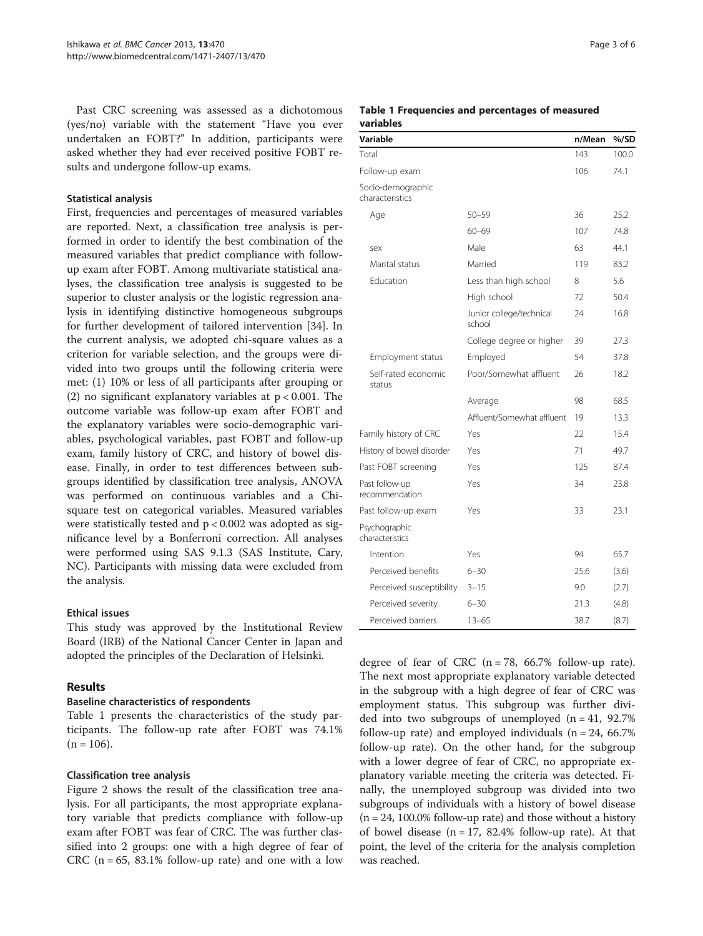Past CRC screening was assessed as a dichotomous (yes/no) variable with the statement "Have you ever undertaken an FOBT?" In addition, participants were asked whether they had ever received positive FOBT results and undergone follow-up exams.

#### Statistical analysis

First, frequencies and percentages of measured variables are reported. Next, a classification tree analysis is performed in order to identify the best combination of the measured variables that predict compliance with followup exam after FOBT. Among multivariate statistical analyses, the classification tree analysis is suggested to be superior to cluster analysis or the logistic regression analysis in identifying distinctive homogeneous subgroups for further development of tailored intervention [\[34\]](#page-5-0). In the current analysis, we adopted chi-square values as a criterion for variable selection, and the groups were divided into two groups until the following criteria were met: (1) 10% or less of all participants after grouping or (2) no significant explanatory variables at p < 0.001. The outcome variable was follow-up exam after FOBT and the explanatory variables were socio-demographic variables, psychological variables, past FOBT and follow-up exam, family history of CRC, and history of bowel disease. Finally, in order to test differences between subgroups identified by classification tree analysis, ANOVA was performed on continuous variables and a Chisquare test on categorical variables. Measured variables were statistically tested and  $p < 0.002$  was adopted as significance level by a Bonferroni correction. All analyses were performed using SAS 9.1.3 (SAS Institute, Cary, NC). Participants with missing data were excluded from the analysis.

## Ethical issues

This study was approved by the Institutional Review Board (IRB) of the National Cancer Center in Japan and adopted the principles of the Declaration of Helsinki.

## Results

## Baseline characteristics of respondents

Table 1 presents the characteristics of the study participants. The follow-up rate after FOBT was 74.1%  $(n = 106)$ .

## Classification tree analysis

Figure [2](#page-3-0) shows the result of the classification tree analysis. For all participants, the most appropriate explanatory variable that predicts compliance with follow-up exam after FOBT was fear of CRC. The was further classified into 2 groups: one with a high degree of fear of CRC ( $n = 65$ , 83.1% follow-up rate) and one with a low

#### Table 1 Frequencies and percentages of measured variables

| Variable                             |                                    | n/Mean | %/SD  |
|--------------------------------------|------------------------------------|--------|-------|
| Total                                |                                    | 143    | 100.0 |
| Follow-up exam                       |                                    | 106    | 74.1  |
| Socio-demographic<br>characteristics |                                    |        |       |
| Age                                  | $50 - 59$                          | 36     | 25.2  |
|                                      | $60 - 69$                          | 107    | 74.8  |
| sex                                  | Male                               | 63     | 44.1  |
| Marital status                       | Married                            | 119    | 83.2  |
| <b>Education</b>                     | Less than high school              | 8      | 5.6   |
|                                      | High school                        | 72     | 50.4  |
|                                      | Junior college/technical<br>school | 24     | 16.8  |
|                                      | College degree or higher           | 39     | 27.3  |
| Employment status                    | Employed                           | 54     | 37.8  |
| Self-rated economic<br>status        | Poor/Somewhat affluent             | 26     | 18.2  |
|                                      | Average                            | 98     | 68.5  |
|                                      | Affluent/Somewhat affluent         | 19     | 13.3  |
| Family history of CRC                | Yes                                | 22     | 15.4  |
| History of bowel disorder            | Yes                                | 71     | 49.7  |
| Past FOBT screening                  | Yes                                | 125    | 87.4  |
| Past follow-up<br>recommendation     | Yes                                | 34     | 23.8  |
| Past follow-up exam                  | Yes                                | 33     | 23.1  |
| Psychographic<br>characteristics     |                                    |        |       |
| Intention                            | Yes                                | 94     | 65.7  |
| Perceived benefits                   | $6 - 30$                           | 25.6   | (3.6) |
| Perceived susceptibility             | $3 - 15$                           | 9.0    | (2.7) |
| Perceived severity                   | $6 - 30$                           | 21.3   | (4.8) |
| Perceived barriers                   | $13 - 65$                          | 38.7   | (8.7) |

degree of fear of CRC  $(n = 78, 66.7\%$  follow-up rate). The next most appropriate explanatory variable detected in the subgroup with a high degree of fear of CRC was employment status. This subgroup was further divided into two subgroups of unemployed  $(n = 41, 92.7\%)$ follow-up rate) and employed individuals  $(n = 24, 66.7\%)$ follow-up rate). On the other hand, for the subgroup with a lower degree of fear of CRC, no appropriate explanatory variable meeting the criteria was detected. Finally, the unemployed subgroup was divided into two subgroups of individuals with a history of bowel disease  $(n = 24, 100.0\%$  follow-up rate) and those without a history of bowel disease ( $n = 17$ , 82.4% follow-up rate). At that point, the level of the criteria for the analysis completion was reached.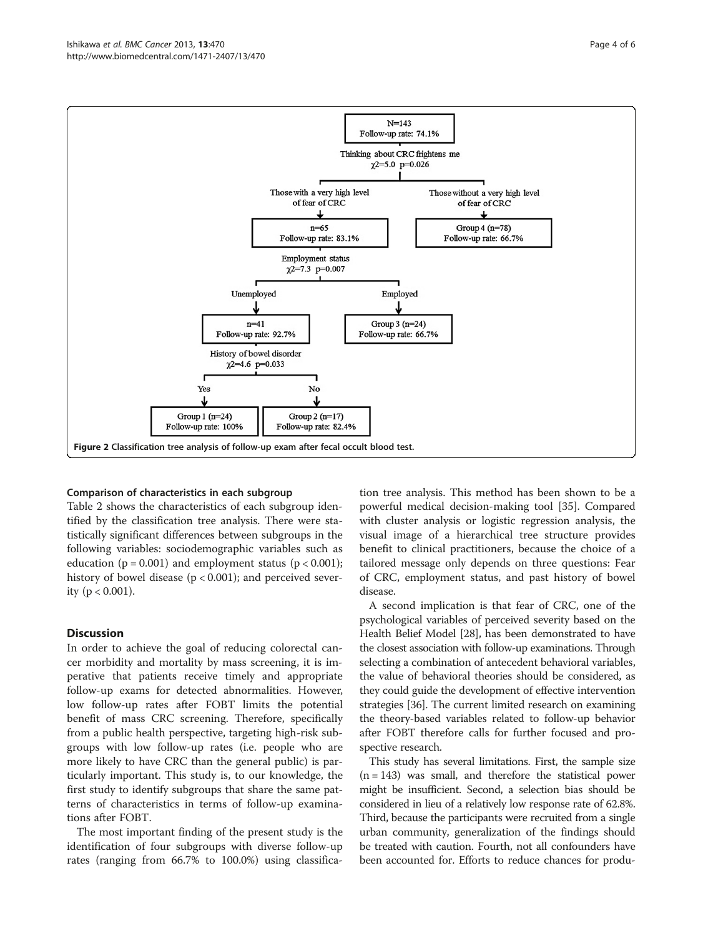<span id="page-3-0"></span>

#### Comparison of characteristics in each subgroup

Table [2](#page-4-0) shows the characteristics of each subgroup identified by the classification tree analysis. There were statistically significant differences between subgroups in the following variables: sociodemographic variables such as education ( $p = 0.001$ ) and employment status ( $p < 0.001$ ); history of bowel disease (p < 0.001); and perceived severity ( $p < 0.001$ ).

#### **Discussion**

In order to achieve the goal of reducing colorectal cancer morbidity and mortality by mass screening, it is imperative that patients receive timely and appropriate follow-up exams for detected abnormalities. However, low follow-up rates after FOBT limits the potential benefit of mass CRC screening. Therefore, specifically from a public health perspective, targeting high-risk subgroups with low follow-up rates (i.e. people who are more likely to have CRC than the general public) is particularly important. This study is, to our knowledge, the first study to identify subgroups that share the same patterns of characteristics in terms of follow-up examinations after FOBT.

The most important finding of the present study is the identification of four subgroups with diverse follow-up rates (ranging from 66.7% to 100.0%) using classifica-

tion tree analysis. This method has been shown to be a powerful medical decision-making tool [\[35](#page-5-0)]. Compared with cluster analysis or logistic regression analysis, the visual image of a hierarchical tree structure provides benefit to clinical practitioners, because the choice of a tailored message only depends on three questions: Fear of CRC, employment status, and past history of bowel disease.

A second implication is that fear of CRC, one of the psychological variables of perceived severity based on the Health Belief Model [\[28\]](#page-5-0), has been demonstrated to have the closest association with follow-up examinations. Through selecting a combination of antecedent behavioral variables, the value of behavioral theories should be considered, as they could guide the development of effective intervention strategies [[36](#page-5-0)]. The current limited research on examining the theory-based variables related to follow-up behavior after FOBT therefore calls for further focused and prospective research.

This study has several limitations. First, the sample size  $(n = 143)$  was small, and therefore the statistical power might be insufficient. Second, a selection bias should be considered in lieu of a relatively low response rate of 62.8%. Third, because the participants were recruited from a single urban community, generalization of the findings should be treated with caution. Fourth, not all confounders have been accounted for. Efforts to reduce chances for produ-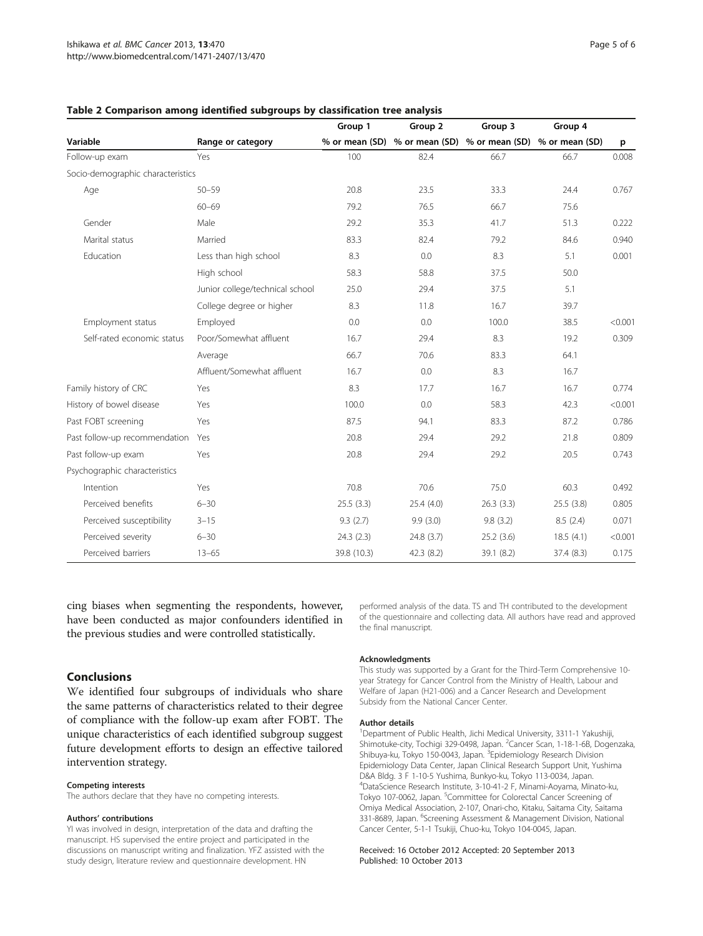|                                   |                                 | Group 1     | Group 2                                                     | Group 3    | Group 4    |         |
|-----------------------------------|---------------------------------|-------------|-------------------------------------------------------------|------------|------------|---------|
| Variable                          | Range or category               |             | % or mean (SD) % or mean (SD) % or mean (SD) % or mean (SD) |            |            | p       |
| Follow-up exam                    | Yes                             | 100         | 82.4                                                        | 66.7       | 66.7       | 0.008   |
| Socio-demographic characteristics |                                 |             |                                                             |            |            |         |
| Age                               | $50 - 59$                       | 20.8        | 23.5                                                        | 33.3       | 24.4       | 0.767   |
|                                   | $60 - 69$                       | 79.2        | 76.5                                                        | 66.7       | 75.6       |         |
| Gender                            | Male                            | 29.2        | 35.3                                                        | 41.7       | 51.3       | 0.222   |
| Marital status                    | Married                         | 83.3        | 82.4                                                        | 79.2       | 84.6       | 0.940   |
| Education                         | Less than high school           | 8.3         | 0.0                                                         | 8.3        | 5.1        | 0.001   |
|                                   | High school                     | 58.3        | 58.8                                                        | 37.5       | 50.0       |         |
|                                   | Junior college/technical school | 25.0        | 29.4                                                        | 37.5       | 5.1        |         |
|                                   | College degree or higher        | 8.3         | 11.8                                                        | 16.7       | 39.7       |         |
| Employment status                 | Employed                        | 0.0         | 0.0                                                         | 100.0      | 38.5       | < 0.001 |
| Self-rated economic status        | Poor/Somewhat affluent          | 16.7        | 29.4                                                        | 8.3        | 19.2       | 0.309   |
|                                   | Average                         | 66.7        | 70.6                                                        | 83.3       | 64.1       |         |
|                                   | Affluent/Somewhat affluent      | 16.7        | 0.0                                                         | 8.3        | 16.7       |         |
| Family history of CRC             | Yes                             | 8.3         | 17.7                                                        | 16.7       | 16.7       | 0.774   |
| History of bowel disease          | Yes                             | 100.0       | 0.0                                                         | 58.3       | 42.3       | < 0.001 |
| Past FOBT screening               | Yes                             | 87.5        | 94.1                                                        | 83.3       | 87.2       | 0.786   |
| Past follow-up recommendation     | Yes                             | 20.8        | 29.4                                                        | 29.2       | 21.8       | 0.809   |
| Past follow-up exam               | Yes                             | 20.8        | 29.4                                                        | 29.2       | 20.5       | 0.743   |
| Psychographic characteristics     |                                 |             |                                                             |            |            |         |
| Intention                         | Yes                             | 70.8        | 70.6                                                        | 75.0       | 60.3       | 0.492   |
| Perceived benefits                | $6 - 30$                        | 25.5(3.3)   | 25.4(4.0)                                                   | 26.3(3.3)  | 25.5(3.8)  | 0.805   |
| Perceived susceptibility          | $3 - 15$                        | 9.3(2.7)    | 9.9(3.0)                                                    | 9.8(3.2)   | 8.5(2.4)   | 0.071   |
| Perceived severity                | $6 - 30$                        | 24.3(2.3)   | 24.8 (3.7)                                                  | 25.2(3.6)  | 18.5(4.1)  | < 0.001 |
| Perceived barriers                | $13 - 65$                       | 39.8 (10.3) | 42.3 (8.2)                                                  | 39.1 (8.2) | 37.4 (8.3) | 0.175   |

#### <span id="page-4-0"></span>Table 2 Comparison among identified subgroups by classification tree analysis

cing biases when segmenting the respondents, however, have been conducted as major confounders identified in the previous studies and were controlled statistically.

Conclusions

We identified four subgroups of individuals who share the same patterns of characteristics related to their degree of compliance with the follow-up exam after FOBT. The unique characteristics of each identified subgroup suggest future development efforts to design an effective tailored intervention strategy.

#### Competing interests

The authors declare that they have no competing interests.

#### Authors' contributions

YI was involved in design, interpretation of the data and drafting the manuscript. HS supervised the entire project and participated in the discussions on manuscript writing and finalization. YFZ assisted with the study design, literature review and questionnaire development. HN

performed analysis of the data. TS and TH contributed to the development of the questionnaire and collecting data. All authors have read and approved the final manuscript.

#### Acknowledgments

This study was supported by a Grant for the Third-Term Comprehensive 10 year Strategy for Cancer Control from the Ministry of Health, Labour and Welfare of Japan (H21-006) and a Cancer Research and Development Subsidy from the National Cancer Center.

#### Author details

<sup>1</sup>Department of Public Health, Jichi Medical University, 3311-1 Yakushiji Shimotuke-city, Tochigi 329-0498, Japan. <sup>2</sup>Cancer Scan, 1-18-1-6B, Dogenzaka Shibuya-ku, Tokyo 150-0043, Japan. <sup>3</sup>Epidemiology Research Division Epidemiology Data Center, Japan Clinical Research Support Unit, Yushima D&A Bldg. 3 F 1-10-5 Yushima, Bunkyo-ku, Tokyo 113-0034, Japan. 4 DataScience Research Institute, 3-10-41-2 F, Minami-Aoyama, Minato-ku, Tokyo 107-0062, Japan. <sup>5</sup>Committee for Colorectal Cancer Screening of Omiya Medical Association, 2-107, Onari-cho, Kitaku, Saitama City, Saitama 331-8689, Japan. <sup>6</sup>Screening Assessment & Management Division, National Cancer Center, 5-1-1 Tsukiji, Chuo-ku, Tokyo 104-0045, Japan.

#### Received: 16 October 2012 Accepted: 20 September 2013 Published: 10 October 2013